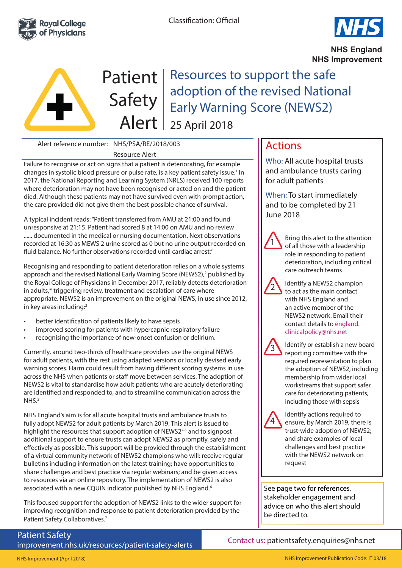



**NHS England NHS Improvement**



Patient | Resources to support the safe adoption of the revised National Early Warning Score (NEWS2) 25 April 2018

# Alert reference number: NHS/PSA/RE/2018/003

#### Resource Alert

Failure to recognise or act on signs that a patient is deteriorating, for example changes in systolic blood pressure or pulse rate, is a key patient safety issue.<sup>1</sup> In 2017, the National Reporting and Learning System (NRLS) received 100 reports where deterioration may not have been recognised or acted on and the patient died. Although these patients may not have survived even with prompt action, the care provided did not give them the best possible chance of survival.

A typical incident reads: "Patient transferred from AMU at 21:00 and found unresponsive at 21:15. Patient had scored 8 at 14:00 on AMU and no review ...... documented in the medical or nursing documentation. Next observations recorded at 16:30 as MEWS 2 urine scored as 0 but no urine output recorded on fluid balance. No further observations recorded until cardiac arrest."

Recognising and responding to patient deterioration relies on a whole systems approach and the revised National Early Warning Score (NEWS2),<sup>2</sup> published by the Royal College of Physicians in December 2017, reliably detects deterioration in adults,\* triggering review, treatment and escalation of care where appropriate. NEWS2 is an improvement on the original NEWS, in use since 2012, in key areas including:<sup>2</sup>

- better identification of patients likely to have sepsis
- improved scoring for patients with hypercapnic respiratory failure
- recognising the importance of new-onset confusion or delirium.

Currently, around two-thirds of healthcare providers use the original NEWS for adult patients, with the rest using adapted versions or locally devised early warning scores. Harm could result from having different scoring systems in use across the NHS when patients or staff move between services. The adoption of NEWS2 is vital to standardise how adult patients who are acutely deteriorating are identified and responded to, and to streamline communication across the NHS.2

NHS England's aim is for all acute hospital trusts and ambulance trusts to fully adopt NEWS2 for adult patients by March 2019. This alert is issued to highlight the resources that support adoption of NEWS2<sup>2-5</sup> and to signpost additional support to ensure trusts can adopt NEWS2 as promptly, safely and effectively as possible. This support will be provided through the establishment of a virtual community network of NEWS2 champions who will: receive regular bulletins including information on the latest training; have opportunities to share challenges and best practice via regular webinars; and be given access to resources via an online repository. The implementation of NEWS2 is also associated with a new CQUIN indicator published by NHS England.<sup>6</sup>

This focused support for the adoption of NEWS2 links to the wider support for improving recognition and response to patient deterioration provided by the Patient Safety Collaboratives.<sup>7</sup>

Patient Safety improvement.nhs.uk/resources/patient-safety-alerts

# Actions

Who: All acute hospital trusts and ambulance trusts caring for adult patients

When: To start immediately and to be completed by 21 June 2018



2

Bring this alert to the attention of all those with a leadership role in responding to patient deterioration, including critical care outreach teams

Identify a NEWS2 champion to act as the main contact with NHS England and an active member of the NEWS2 network. Email their contact details to england. clinicalpolicy@nhs.net



Identify or establish a new board reporting committee with the required representation to plan the adoption of NEWS2, including membership from wider local workstreams that support safer care for deteriorating patients, including those with sepsis



Identify actions required to ensure, by March 2019, there is trust-wide adoption of NEWS2; and share examples of local challenges and best practice with the NEWS2 network on request

See page two for references, stakeholder engagement and advice on who this alert should be directed to.

Contact us: patientsafety.enquiries@nhs.net